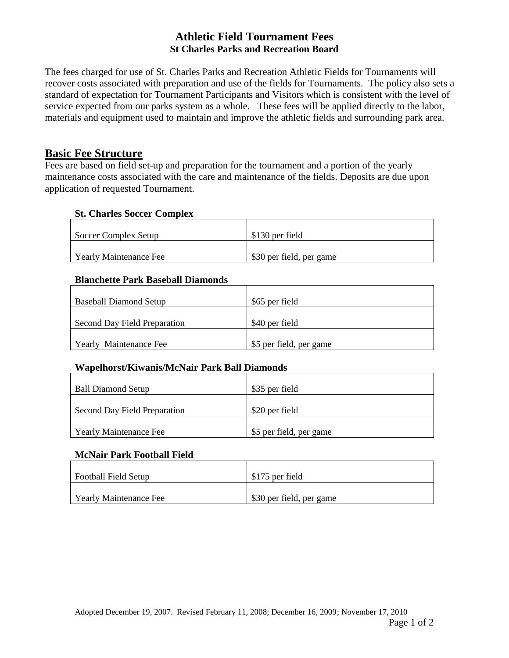## **Athletic Field Tournament Fees St Charles Parks and Recreation Board**

The fees charged for use of St. Charles Parks and Recreation Athletic Fields for Tournaments will recover costs associated with preparation and use of the fields for Tournaments. The policy also sets a standard of expectation for Tournament Participants and Visitors which is consistent with the level of service expected from our parks system as a whole. These fees will be applied directly to the labor, materials and equipment used to maintain and improve the athletic fields and surrounding park area.

# **Basic Fee Structure**

Fees are based on field set-up and preparation for the tournament and a portion of the yearly maintenance costs associated with the care and maintenance of the fields. Deposits are due upon application of requested Tournament.

#### **St. Charles Soccer Complex**

| Soccer Complex Setup   | \$130 per field          |
|------------------------|--------------------------|
| Yearly Maintenance Fee | \$30 per field, per game |

### **Blanchette Park Baseball Diamonds**

| <b>Baseball Diamond Setup</b> | \$65 per field          |
|-------------------------------|-------------------------|
| Second Day Field Preparation  | \$40 per field          |
| <b>Yearly Maintenance Fee</b> | \$5 per field, per game |

## **Wapelhorst/Kiwanis/McNair Park Ball Diamonds**

| <b>Ball Diamond Setup</b>     | \$35 per field          |
|-------------------------------|-------------------------|
| Second Day Field Preparation  | \$20 per field          |
| <b>Yearly Maintenance Fee</b> | \$5 per field, per game |

#### **McNair Park Football Field**

| <b>Football Field Setup</b> | \$175 per field          |
|-----------------------------|--------------------------|
| Yearly Maintenance Fee      | \$30 per field, per game |